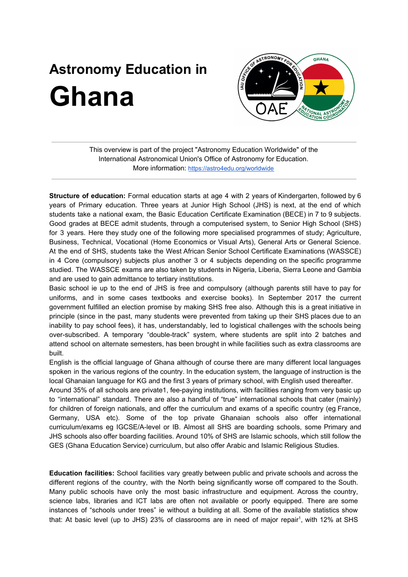## **Astronomy Education in Ghana**



This overview is part of the project "Astronomy Education Worldwide" of the International Astronomical Union's Office of Astronomy for Education. More information: <https://astro4edu.org/worldwide>

**Structure of education:** Formal education starts at age 4 with 2 years of Kindergarten, followed by 6 years of Primary education. Three years at Junior High School (JHS) is next, at the end of which students take a national exam, the Basic Education Certificate Examination (BECE) in 7 to 9 subjects. Good grades at BECE admit students, through a computerised system, to Senior High School (SHS) for 3 years. Here they study one of the following more specialised programmes of study; Agriculture, Business, Technical, Vocational (Home Economics or Visual Arts), General Arts or General Science. At the end of SHS, students take the West African Senior School Certificate Examinations (WASSCE) in 4 Core (compulsory) subjects plus another 3 or 4 subjects depending on the specific programme studied. The WASSCE exams are also taken by students in Nigeria, Liberia, Sierra Leone and Gambia and are used to gain admittance to tertiary institutions.

Basic school ie up to the end of JHS is free and compulsory (although parents still have to pay for uniforms, and in some cases textbooks and exercise books). In September 2017 the current government fulfilled an election promise by making SHS free also. Although this is a great initiative in principle (since in the past, many students were prevented from taking up their SHS places due to an inability to pay school fees), it has, understandably, led to logistical challenges with the schools being over-subscribed. A temporary "double-track" system, where students are split into 2 batches and attend school on alternate semesters, has been brought in while facilities such as extra classrooms are built.

English is the official language of Ghana although of course there are many different local languages spoken in the various regions of the country. In the education system, the language of instruction is the local Ghanaian language for KG and the first 3 years of primary school, with English used thereafter.

Around 35% of all schools are private1, fee-paying institutions, with facilities ranging from very basic up to "international" standard. There are also a handful of "true" international schools that cater (mainly) for children of foreign nationals, and offer the curriculum and exams of a specific country (eg France, Germany, USA etc). Some of the top private Ghanaian schools also offer international curriculum/exams eg IGCSE/A-level or IB. Almost all SHS are boarding schools, some Primary and JHS schools also offer boarding facilities. Around 10% of SHS are Islamic schools, which still follow the GES (Ghana Education Service) curriculum, but also offer Arabic and Islamic Religious Studies.

**Education facilities:** School facilities vary greatly between public and private schools and across the different regions of the country, with the North being significantly worse off compared to the South. Many public schools have only the most basic infrastructure and equipment. Across the country, science labs, libraries and ICT labs are often not available or poorly equipped. There are some instances of "schools under trees" ie without a building at all. Some of the available statistics show that: At basic level (up to JHS) 23% of classrooms are in need of major repair<sup>1</sup>, with 12% at SHS